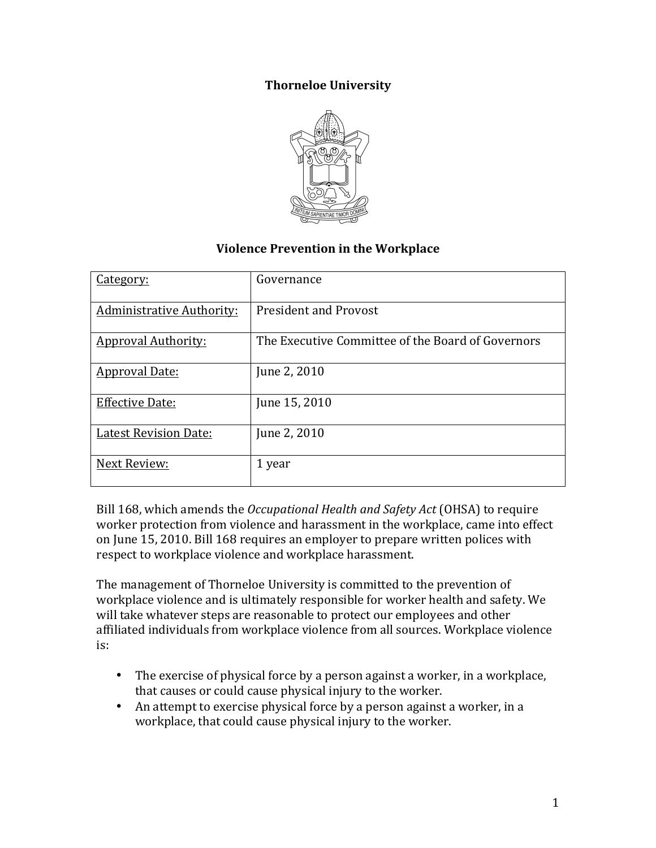## **Thorneloe University**



## **Violence Prevention in the Workplace**

| Category:                        | Governance                                        |
|----------------------------------|---------------------------------------------------|
| <b>Administrative Authority:</b> | <b>President and Provost</b>                      |
| <b>Approval Authority:</b>       | The Executive Committee of the Board of Governors |
| <b>Approval Date:</b>            | June 2, 2010                                      |
| <b>Effective Date:</b>           | June 15, 2010                                     |
| <b>Latest Revision Date:</b>     | June 2, 2010                                      |
| Next Review:                     | 1 year                                            |

Bill 168, which amends the *Occupational Health and Safety Act* (OHSA) to require worker protection from violence and harassment in the workplace, came into effect on June 15, 2010. Bill 168 requires an employer to prepare written polices with respect to workplace violence and workplace harassment.

The management of Thorneloe University is committed to the prevention of workplace violence and is ultimately responsible for worker health and safety. We will take whatever steps are reasonable to protect our employees and other affiliated individuals from workplace violence from all sources. Workplace violence is:

- The exercise of physical force by a person against a worker, in a workplace, that causes or could cause physical injury to the worker.
- An attempt to exercise physical force by a person against a worker, in a workplace, that could cause physical injury to the worker.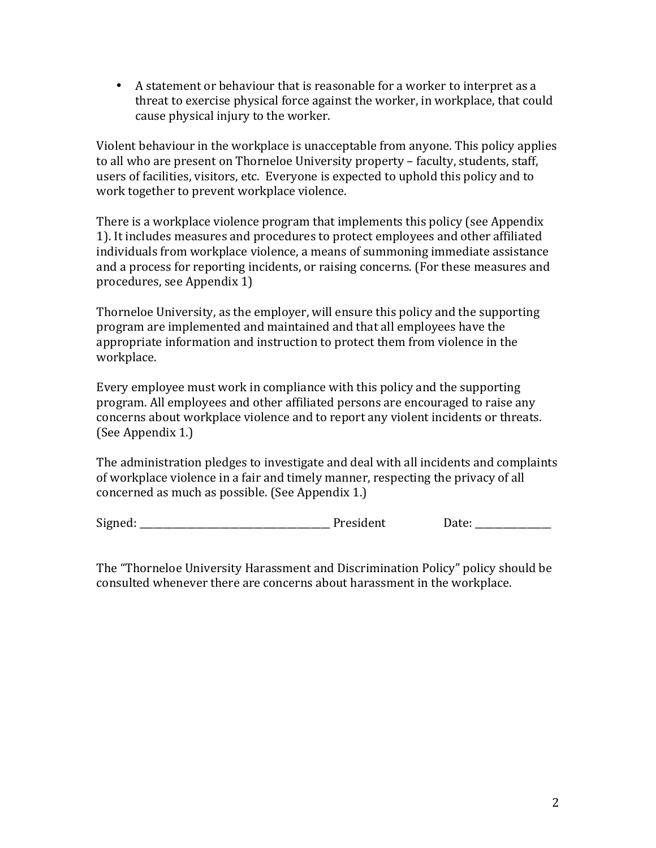• A statement or behaviour that is reasonable for a worker to interpret as a threat to exercise physical force against the worker, in workplace, that could cause physical injury to the worker.

Violent behaviour in the workplace is unacceptable from anyone. This policy applies to all who are present on Thorneloe University property – faculty, students, staff, users of facilities, visitors, etc. Everyone is expected to uphold this policy and to work together to prevent workplace violence.

There is a workplace violence program that implements this policy (see Appendix 1). It includes measures and procedures to protect employees and other affiliated individuals from workplace violence, a means of summoning immediate assistance and a process for reporting incidents, or raising concerns. (For these measures and procedures, see Appendix 1)

Thorneloe University, as the employer, will ensure this policy and the supporting program are implemented and maintained and that all employees have the appropriate information and instruction to protect them from violence in the workplace.

Every employee must work in compliance with this policy and the supporting program. All employees and other affiliated persons are encouraged to raise any concerns about workplace violence and to report any violent incidents or threats. (See Appendix 1.)

The administration pledges to investigate and deal with all incidents and complaints of workplace violence in a fair and timely manner, respecting the privacy of all concerned as much as possible. (See Appendix 1.)

Signed: \_\_\_\_\_\_\_\_\_\_\_\_\_\_\_\_\_\_\_\_\_\_\_\_\_\_\_\_\_\_\_\_\_\_\_\_\_\_\_\_ President Date: \_\_\_\_\_\_\_\_\_\_\_\_\_\_\_\_

The "Thorneloe University Harassment and Discrimination Policy" policy should be consulted whenever there are concerns about harassment in the workplace.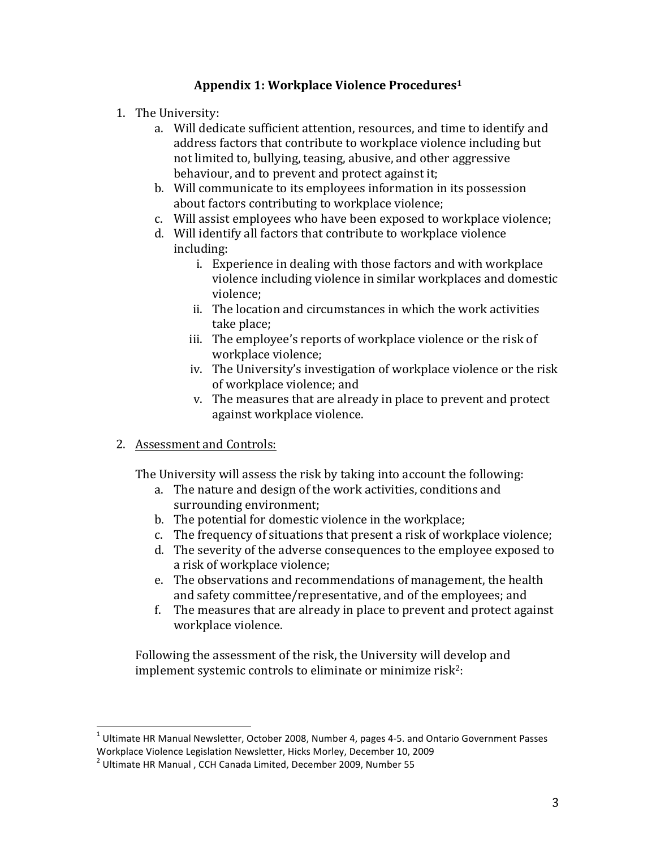## Appendix 1: Workplace Violence Procedures<sup>1</sup>

- 1. The University:
	- a. Will dedicate sufficient attention, resources, and time to identify and address factors that contribute to workplace violence including but not limited to, bullying, teasing, abusive, and other aggressive behaviour, and to prevent and protect against it;
	- b. Will communicate to its employees information in its possession about factors contributing to workplace violence;
	- c. Will assist employees who have been exposed to workplace violence;
	- d. Will identify all factors that contribute to workplace violence including:
		- i. Experience in dealing with those factors and with workplace violence including violence in similar workplaces and domestic violence;
		- ii. The location and circumstances in which the work activities take place;
		- iii. The employee's reports of workplace violence or the risk of workplace violence;
		- iv. The University's investigation of workplace violence or the risk of workplace violence; and
		- v. The measures that are already in place to prevent and protect against workplace violence.
- 2. Assessment and Controls:

The University will assess the risk by taking into account the following:

- a. The nature and design of the work activities, conditions and surrounding environment:
- b. The potential for domestic violence in the workplace;
- c. The frequency of situations that present a risk of workplace violence;
- d. The severity of the adverse consequences to the employee exposed to a risk of workplace violence;
- e. The observations and recommendations of management, the health and safety committee/representative, and of the employees; and
- f. The measures that are already in place to prevent and protect against workplace violence.

Following the assessment of the risk, the University will develop and implement systemic controls to eliminate or minimize risk<sup>2</sup>:

 $1$  Ultimate HR Manual Newsletter, October 2008, Number 4, pages 4-5. and Ontario Government Passes Workplace Violence Legislation Newsletter, Hicks Morley, December 10, 2009

 $2$  Ultimate HR Manual, CCH Canada Limited, December 2009, Number 55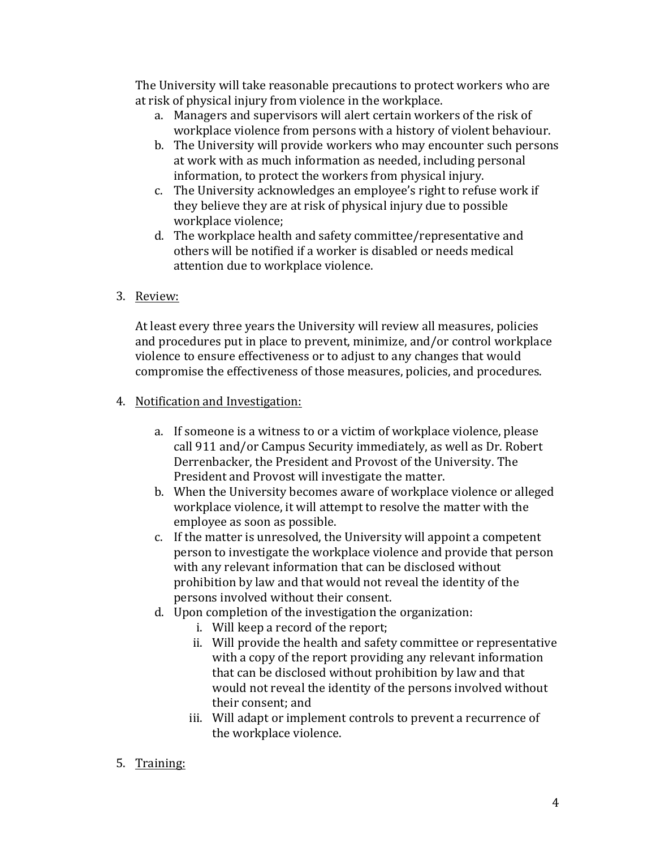The University will take reasonable precautions to protect workers who are at risk of physical injury from violence in the workplace.

- a. Managers and supervisors will alert certain workers of the risk of workplace violence from persons with a history of violent behaviour.
- b. The University will provide workers who may encounter such persons at work with as much information as needed, including personal information, to protect the workers from physical injury.
- c. The University acknowledges an employee's right to refuse work if they believe they are at risk of physical injury due to possible workplace violence:
- d. The workplace health and safety committee/representative and others will be notified if a worker is disabled or needs medical attention due to workplace violence.
- 3. Review:

At least every three years the University will review all measures, policies and procedures put in place to prevent, minimize, and/or control workplace violence to ensure effectiveness or to adjust to any changes that would compromise the effectiveness of those measures, policies, and procedures.

- 4. Notification and Investigation:
	- a. If someone is a witness to or a victim of workplace violence, please call 911 and/or Campus Security immediately, as well as Dr. Robert Derrenbacker, the President and Provost of the University. The President and Provost will investigate the matter.
	- b. When the University becomes aware of workplace violence or alleged workplace violence, it will attempt to resolve the matter with the employee as soon as possible.
	- c. If the matter is unresolved, the University will appoint a competent person to investigate the workplace violence and provide that person with any relevant information that can be disclosed without prohibition by law and that would not reveal the identity of the persons involved without their consent.
	- d. Upon completion of the investigation the organization:
		- i. Will keep a record of the report;
		- ii. Will provide the health and safety committee or representative with a copy of the report providing any relevant information that can be disclosed without prohibition by law and that would not reveal the identity of the persons involved without their consent: and
		- iii. Will adapt or implement controls to prevent a recurrence of the workplace violence.
- 5. Training: